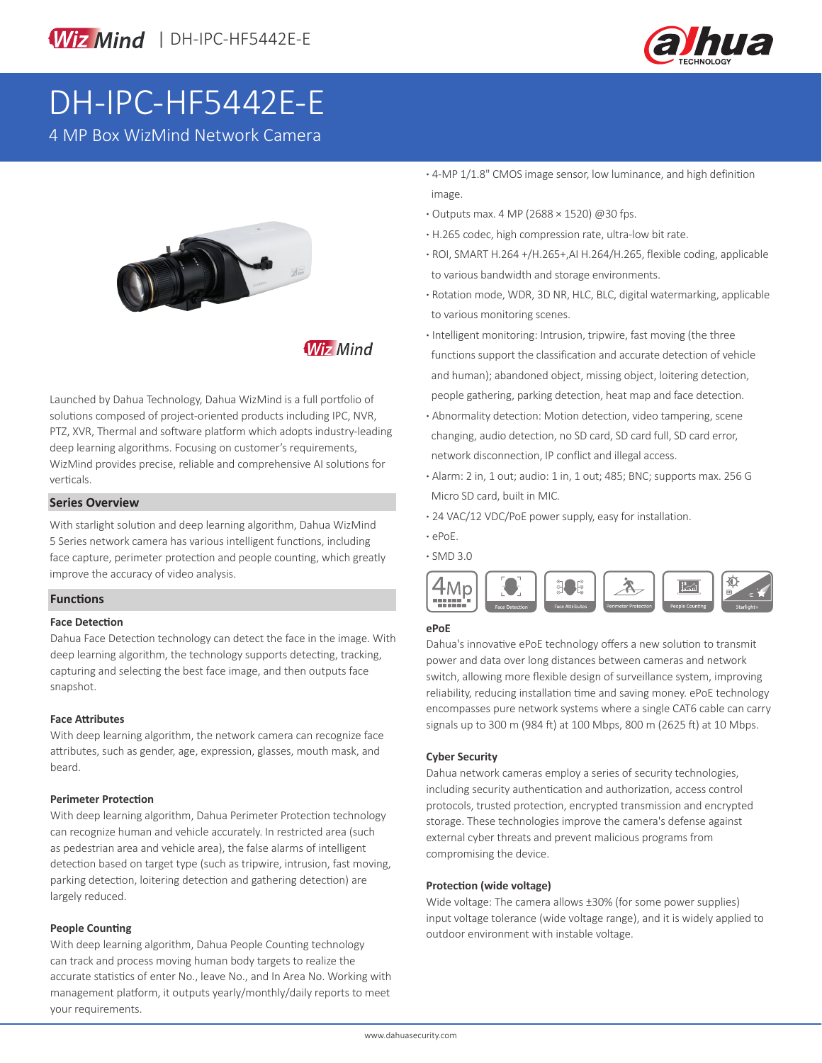



# DH-IPC-HF5442E-E

4 MP Box WizMind Network Camera



**Wiz Mind** 

Launched by Dahua Technology, Dahua WizMind is a full portfolio of solutions composed of project-oriented products including IPC, NVR, PTZ, XVR, Thermal and software platform which adopts industry-leading deep learning algorithms. Focusing on customer's requirements, WizMind provides precise, reliable and comprehensive AI solutions for verticals.

#### **Series Overview**

With starlight solution and deep learning algorithm, Dahua WizMind 5 Series network camera has various intelligent functions, including face capture, perimeter protection and people counting, which greatly improve the accuracy of video analysis.

#### **Functions**

#### **Face Detection**

Dahua Face Detection technology can detect the face in the image. With deep learning algorithm, the technology supports detecting, tracking, capturing and selecting the best face image, and then outputs face snapshot.

#### **Face Attributes**

With deep learning algorithm, the network camera can recognize face attributes, such as gender, age, expression, glasses, mouth mask, and beard.

#### **Perimeter Protection**

With deep learning algorithm, Dahua Perimeter Protection technology can recognize human and vehicle accurately. In restricted area (such as pedestrian area and vehicle area), the false alarms of intelligent detection based on target type (such as tripwire, intrusion, fast moving, parking detection, loitering detection and gathering detection) are largely reduced.

#### **People Counting**

With deep learning algorithm, Dahua People Counting technology can track and process moving human body targets to realize the accurate statistics of enter No., leave No., and In Area No. Working with management platform, it outputs yearly/monthly/daily reports to meet your requirements.

- **·** 4-MP 1/1.8" CMOS image sensor, low luminance, and high definition image.
- **·** Outputs max. 4 MP (2688 × 1520) @30 fps.
- **·** H.265 codec, high compression rate, ultra-low bit rate.
- **·** ROI, SMART H.264 +/H.265+,AI H.264/H.265, flexible coding, applicable to various bandwidth and storage environments.
- **·** Rotation mode, WDR, 3D NR, HLC, BLC, digital watermarking, applicable to various monitoring scenes.
- **·** Intelligent monitoring: Intrusion, tripwire, fast moving (the three functions support the classification and accurate detection of vehicle and human); abandoned object, missing object, loitering detection, people gathering, parking detection, heat map and face detection.
- **·** Abnormality detection: Motion detection, video tampering, scene changing, audio detection, no SD card, SD card full, SD card error, network disconnection, IP conflict and illegal access.
- **·** Alarm: 2 in, 1 out; audio: 1 in, 1 out; 485; BNC; supports max. 256 G Micro SD card, built in MIC.
- **·** 24 VAC/12 VDC/PoE power supply, easy for installation.
- **·** ePoE.
- **·** SMD 3.0



#### **ePoE**

Dahua's innovative ePoE technology offers a new solution to transmit power and data over long distances between cameras and network switch, allowing more flexible design of surveillance system, improving reliability, reducing installation time and saving money. ePoE technology encompasses pure network systems where a single CAT6 cable can carry signals up to 300 m (984 ft) at 100 Mbps, 800 m (2625 ft) at 10 Mbps.

#### **Cyber Security**

Dahua network cameras employ a series of security technologies, including security authentication and authorization, access control protocols, trusted protection, encrypted transmission and encrypted storage. These technologies improve the camera's defense against external cyber threats and prevent malicious programs from compromising the device.

#### **Protection (wide voltage)**

Wide voltage: The camera allows ±30% (for some power supplies) input voltage tolerance (wide voltage range), and it is widely applied to outdoor environment with instable voltage.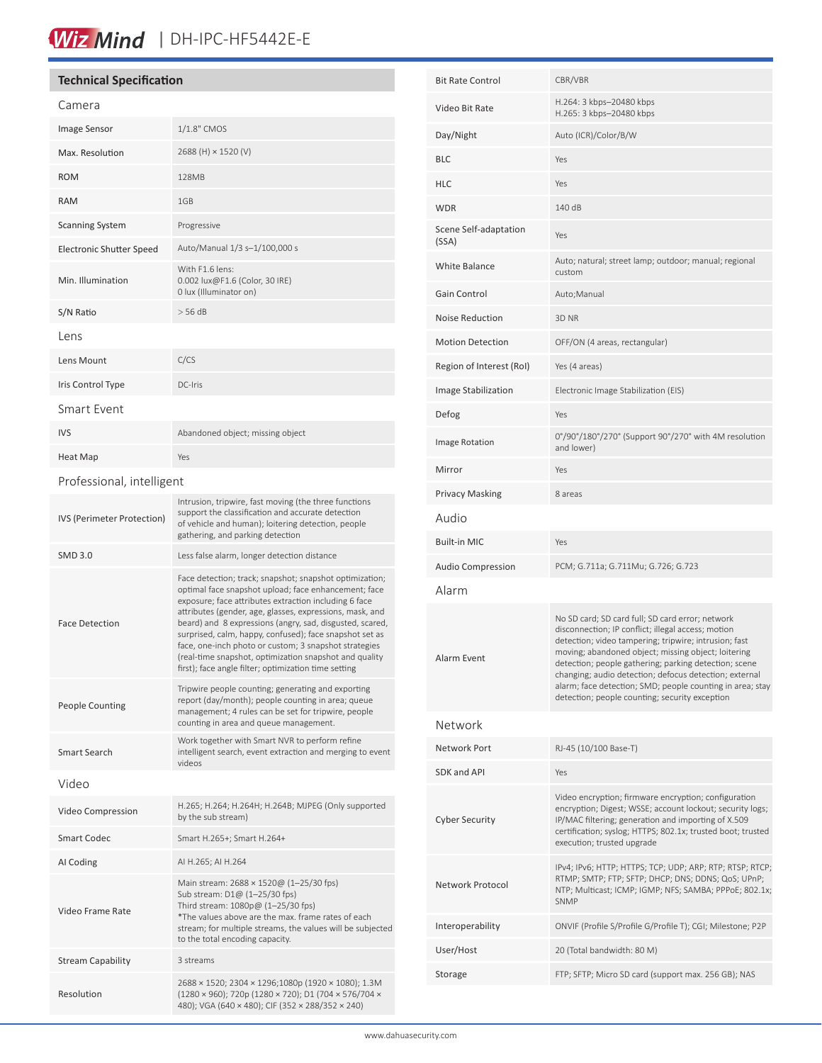# Wiz Mind | DH-IPC-HF5442E-E

### **Technical Specification**

Resolution

| Camera                          |                                                                                                                                                                                                                                                                                                                                                                                                                                                                                                                                        |  |  |
|---------------------------------|----------------------------------------------------------------------------------------------------------------------------------------------------------------------------------------------------------------------------------------------------------------------------------------------------------------------------------------------------------------------------------------------------------------------------------------------------------------------------------------------------------------------------------------|--|--|
| Image Sensor                    | 1/1.8" CMOS                                                                                                                                                                                                                                                                                                                                                                                                                                                                                                                            |  |  |
| Max. Resolution                 | 2688 (H) × 1520 (V)                                                                                                                                                                                                                                                                                                                                                                                                                                                                                                                    |  |  |
| <b>ROM</b>                      | 128MB                                                                                                                                                                                                                                                                                                                                                                                                                                                                                                                                  |  |  |
| <b>RAM</b>                      | 1GB                                                                                                                                                                                                                                                                                                                                                                                                                                                                                                                                    |  |  |
| <b>Scanning System</b>          | Progressive                                                                                                                                                                                                                                                                                                                                                                                                                                                                                                                            |  |  |
| <b>Electronic Shutter Speed</b> | Auto/Manual 1/3 s-1/100,000 s                                                                                                                                                                                                                                                                                                                                                                                                                                                                                                          |  |  |
| Min. Illumination               | With F1.6 lens:<br>0.002 lux@F1.6 (Color, 30 IRE)<br>0 lux (Illuminator on)                                                                                                                                                                                                                                                                                                                                                                                                                                                            |  |  |
| S/N Ratio                       | $>$ 56 dB                                                                                                                                                                                                                                                                                                                                                                                                                                                                                                                              |  |  |
| Lens                            |                                                                                                                                                                                                                                                                                                                                                                                                                                                                                                                                        |  |  |
| Lens Mount                      | C/CS                                                                                                                                                                                                                                                                                                                                                                                                                                                                                                                                   |  |  |
| Iris Control Type               | DC-Iris                                                                                                                                                                                                                                                                                                                                                                                                                                                                                                                                |  |  |
| Smart Event                     |                                                                                                                                                                                                                                                                                                                                                                                                                                                                                                                                        |  |  |
| <b>IVS</b>                      | Abandoned object; missing object                                                                                                                                                                                                                                                                                                                                                                                                                                                                                                       |  |  |
| Heat Map                        | Yes                                                                                                                                                                                                                                                                                                                                                                                                                                                                                                                                    |  |  |
| Professional, intelligent       |                                                                                                                                                                                                                                                                                                                                                                                                                                                                                                                                        |  |  |
| IVS (Perimeter Protection)      | Intrusion, tripwire, fast moving (the three functions<br>support the classification and accurate detection<br>of vehicle and human); loitering detection, people<br>gathering, and parking detection                                                                                                                                                                                                                                                                                                                                   |  |  |
| SMD 3.0                         | Less false alarm, longer detection distance                                                                                                                                                                                                                                                                                                                                                                                                                                                                                            |  |  |
| <b>Face Detection</b>           | Face detection; track; snapshot; snapshot optimization;<br>optimal face snapshot upload; face enhancement; face<br>exposure; face attributes extraction including 6 face<br>attributes (gender, age, glasses, expressions, mask, and<br>beard) and 8 expressions (angry, sad, disgusted, scared,<br>surprised, calm, happy, confused); face snapshot set as<br>face, one-inch photo or custom; 3 snapshot strategies<br>(real-time snapshot, optimization snapshot and quality<br>first); face angle filter; optimization time setting |  |  |
| <b>People Counting</b>          | Tripwire people counting; generating and exporting<br>report (day/month); people counting in area; queue<br>management; 4 rules can be set for tripwire, people<br>counting in area and queue management.                                                                                                                                                                                                                                                                                                                              |  |  |
| Smart Search                    | Work together with Smart NVR to perform refine<br>intelligent search, event extraction and merging to event<br>videos                                                                                                                                                                                                                                                                                                                                                                                                                  |  |  |
| Video                           |                                                                                                                                                                                                                                                                                                                                                                                                                                                                                                                                        |  |  |
| Video Compression               | H.265; H.264; H.264H; H.264B; MJPEG (Only supported<br>by the sub stream)                                                                                                                                                                                                                                                                                                                                                                                                                                                              |  |  |
| <b>Smart Codec</b>              | Smart H.265+; Smart H.264+                                                                                                                                                                                                                                                                                                                                                                                                                                                                                                             |  |  |
| AI Coding                       | AI H.265; AI H.264                                                                                                                                                                                                                                                                                                                                                                                                                                                                                                                     |  |  |
| Video Frame Rate                | Main stream: 2688 × 1520@ (1-25/30 fps)<br>Sub stream: D1@ (1-25/30 fps)<br>Third stream: 1080p@ (1-25/30 fps)<br>*The values above are the max. frame rates of each<br>stream; for multiple streams, the values will be subjected<br>to the total encoding capacity.                                                                                                                                                                                                                                                                  |  |  |
| <b>Stream Capability</b>        | 3 streams                                                                                                                                                                                                                                                                                                                                                                                                                                                                                                                              |  |  |

| <b>Bit Rate Control</b>        | CBR/VBR                                                                                                                                                                                                                                                                                                                                                                                                                                                  |  |
|--------------------------------|----------------------------------------------------------------------------------------------------------------------------------------------------------------------------------------------------------------------------------------------------------------------------------------------------------------------------------------------------------------------------------------------------------------------------------------------------------|--|
| Video Bit Rate                 | H.264: 3 kbps-20480 kbps<br>H.265: 3 kbps-20480 kbps                                                                                                                                                                                                                                                                                                                                                                                                     |  |
| Day/Night                      | Auto (ICR)/Color/B/W                                                                                                                                                                                                                                                                                                                                                                                                                                     |  |
| BLC                            | Yes                                                                                                                                                                                                                                                                                                                                                                                                                                                      |  |
| HLC                            | Yes                                                                                                                                                                                                                                                                                                                                                                                                                                                      |  |
| WDR                            | 140 dB                                                                                                                                                                                                                                                                                                                                                                                                                                                   |  |
| Scene Self-adaptation<br>(SSA) | Yes                                                                                                                                                                                                                                                                                                                                                                                                                                                      |  |
| <b>White Balance</b>           | Auto; natural; street lamp; outdoor; manual; regional<br>custom                                                                                                                                                                                                                                                                                                                                                                                          |  |
| Gain Control                   | Auto; Manual                                                                                                                                                                                                                                                                                                                                                                                                                                             |  |
| <b>Noise Reduction</b>         | 3D NR                                                                                                                                                                                                                                                                                                                                                                                                                                                    |  |
| <b>Motion Detection</b>        | OFF/ON (4 areas, rectangular)                                                                                                                                                                                                                                                                                                                                                                                                                            |  |
| Region of Interest (RoI)       | Yes (4 areas)                                                                                                                                                                                                                                                                                                                                                                                                                                            |  |
| Image Stabilization            | Electronic Image Stabilization (EIS)                                                                                                                                                                                                                                                                                                                                                                                                                     |  |
| Defog                          | Yes                                                                                                                                                                                                                                                                                                                                                                                                                                                      |  |
| Image Rotation                 | 0°/90°/180°/270° (Support 90°/270° with 4M resolution<br>and lower)                                                                                                                                                                                                                                                                                                                                                                                      |  |
| Mirror                         | Yes                                                                                                                                                                                                                                                                                                                                                                                                                                                      |  |
| <b>Privacy Masking</b>         | 8 areas                                                                                                                                                                                                                                                                                                                                                                                                                                                  |  |
| Audio                          |                                                                                                                                                                                                                                                                                                                                                                                                                                                          |  |
| <b>Built-in MIC</b>            | Yes                                                                                                                                                                                                                                                                                                                                                                                                                                                      |  |
| <b>Audio Compression</b>       | PCM; G.711a; G.711Mu; G.726; G.723                                                                                                                                                                                                                                                                                                                                                                                                                       |  |
| Alarm                          |                                                                                                                                                                                                                                                                                                                                                                                                                                                          |  |
| Alarm Event                    | No SD card; SD card full; SD card error; network<br>disconnection; IP conflict; illegal access; motion<br>detection; video tampering; tripwire; intrusion; fast<br>moving; abandoned object; missing object; loitering<br>detection; people gathering; parking detection; scene<br>changing; audio detection; defocus detection; external<br>alarm; face detection; SMD; people counting in area; stay<br>detection; people counting; security exception |  |
| Network                        |                                                                                                                                                                                                                                                                                                                                                                                                                                                          |  |
| Network Port                   | RJ-45 (10/100 Base-T)                                                                                                                                                                                                                                                                                                                                                                                                                                    |  |
| SDK and API                    | Yes                                                                                                                                                                                                                                                                                                                                                                                                                                                      |  |
| <b>Cyber Security</b>          | Video encryption; firmware encryption; configuration<br>encryption; Digest; WSSE; account lockout; security logs;<br>IP/MAC filtering; generation and importing of X.509<br>certification; syslog; HTTPS; 802.1x; trusted boot; trusted<br>execution; trusted upgrade                                                                                                                                                                                    |  |
| Network Protocol               | IPv4; IPv6; HTTP; HTTPS; TCP; UDP; ARP; RTP; RTSP; RTCP;<br>RTMP; SMTP; FTP; SFTP; DHCP; DNS; DDNS; QoS; UPnP;<br>NTP; Multicast; ICMP; IGMP; NFS; SAMBA; PPPoE; 802.1x;<br><b>SNMP</b>                                                                                                                                                                                                                                                                  |  |
| Interoperability               | ONVIF (Profile S/Profile G/Profile T); CGI; Milestone; P2P                                                                                                                                                                                                                                                                                                                                                                                               |  |
| User/Host                      | 20 (Total bandwidth: 80 M)                                                                                                                                                                                                                                                                                                                                                                                                                               |  |
| Storage                        | FTP; SFTP; Micro SD card (support max. 256 GB); NAS                                                                                                                                                                                                                                                                                                                                                                                                      |  |
|                                |                                                                                                                                                                                                                                                                                                                                                                                                                                                          |  |

2688 × 1520; 2304 × 1296;1080p (1920 × 1080); 1.3M (1280 × 960); 720p (1280 × 720); D1 (704 × 576/704 × 480); VGA (640 × 480); CIF (352 × 288/352 × 240)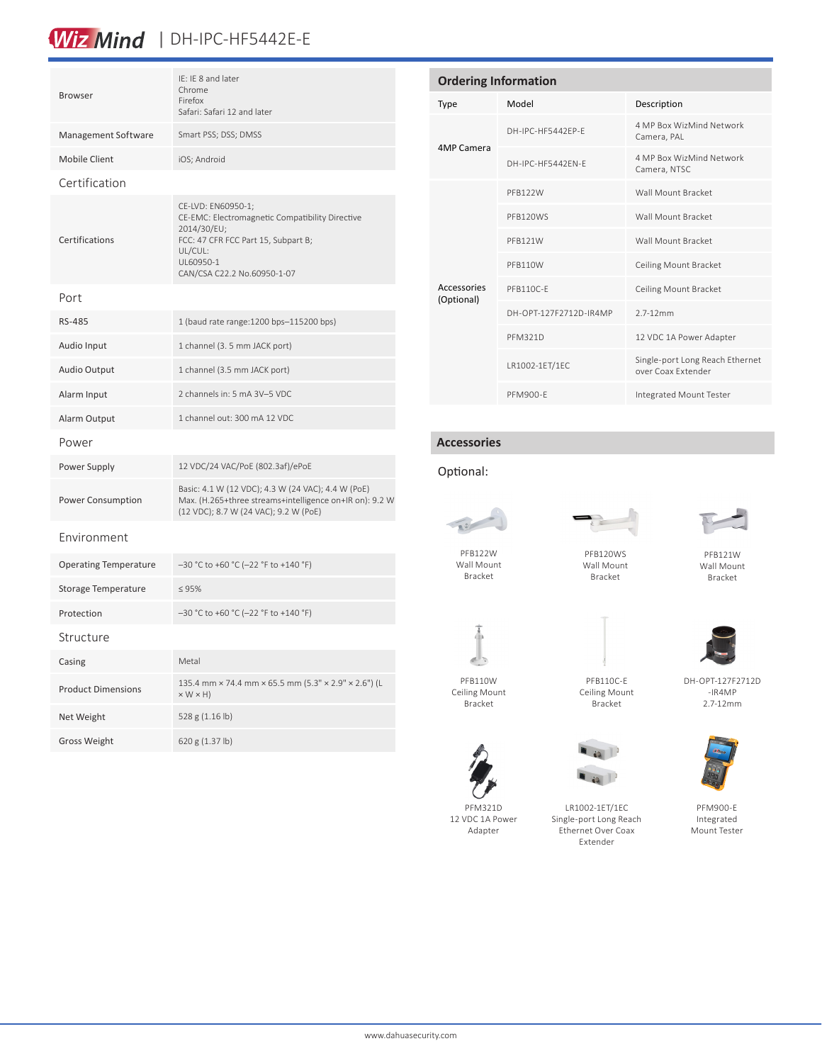# Wiz Mind | DH-IPC-HF5442E-E

| <b>Browser</b>               | IE: IE 8 and later<br>Chrome<br>Firefox<br>Safari: Safari 12 and later                                                                                                             |  |
|------------------------------|------------------------------------------------------------------------------------------------------------------------------------------------------------------------------------|--|
| Management Software          | Smart PSS; DSS; DMSS                                                                                                                                                               |  |
| <b>Mobile Client</b>         | iOS; Android                                                                                                                                                                       |  |
| Certification                |                                                                                                                                                                                    |  |
| Certifications               | CE-LVD: EN60950-1;<br>CE-EMC: Electromagnetic Compatibility Directive<br>2014/30/EU;<br>FCC: 47 CFR FCC Part 15, Subpart B;<br>UL/CUL:<br>UL60950-1<br>CAN/CSA C22.2 No.60950-1-07 |  |
| Port                         |                                                                                                                                                                                    |  |
| RS-485                       | 1 (baud rate range: 1200 bps-115200 bps)                                                                                                                                           |  |
| Audio Input                  | 1 channel (3. 5 mm JACK port)                                                                                                                                                      |  |
| Audio Output                 | 1 channel (3.5 mm JACK port)                                                                                                                                                       |  |
| Alarm Input                  | 2 channels in: 5 mA 3V-5 VDC                                                                                                                                                       |  |
| Alarm Output                 | 1 channel out: 300 mA 12 VDC                                                                                                                                                       |  |
| Power                        |                                                                                                                                                                                    |  |
| Power Supply                 | 12 VDC/24 VAC/PoE (802.3af)/ePoE                                                                                                                                                   |  |
| <b>Power Consumption</b>     | Basic: 4.1 W (12 VDC); 4.3 W (24 VAC); 4.4 W (PoE)<br>Max. (H.265+three streams+intelligence on+IR on): 9.2 W<br>(12 VDC); 8.7 W (24 VAC); 9.2 W (PoE)                             |  |
| Environment                  |                                                                                                                                                                                    |  |
| <b>Operating Temperature</b> | -30 °C to +60 °C (-22 °F to +140 °F)                                                                                                                                               |  |
| <b>Storage Temperature</b>   | $\leq 95\%$                                                                                                                                                                        |  |
| Protection                   | -30 °C to +60 °C (-22 °F to +140 °F)                                                                                                                                               |  |
| Structure                    |                                                                                                                                                                                    |  |
| Casing                       | Metal                                                                                                                                                                              |  |
| <b>Product Dimensions</b>    | 135.4 mm × 74.4 mm × 65.5 mm (5.3" × 2.9" × 2.6") (L<br>$\vee$ $M \vee H$                                                                                                          |  |

 $\times$  W  $\times$  H)

Net Weight 528 g (1.16 lb) Gross Weight 620 g (1.37 lb)

| <b>Ordering Information</b> |                        |                                                       |  |  |
|-----------------------------|------------------------|-------------------------------------------------------|--|--|
| <b>Type</b>                 | Model                  | Description                                           |  |  |
| 4MP Camera                  | DH-IPC-HF5442FP-F      | 4 MP Box WizMind Network<br>Camera, PAL               |  |  |
|                             | DH-IPC-HE5442FN-F      | 4 MP Box WizMind Network<br>Camera, NTSC              |  |  |
| Accessories<br>(Optional)   | PFB122W                | Wall Mount Bracket                                    |  |  |
|                             | PFB120WS               | Wall Mount Bracket                                    |  |  |
|                             | PFB121W                | Wall Mount Bracket                                    |  |  |
|                             | PFB110W                | Ceiling Mount Bracket                                 |  |  |
|                             | PFB110C-E              | Ceiling Mount Bracket                                 |  |  |
|                             | DH-OPT-127F2712D-IR4MP | $2.7 - 12$ mm                                         |  |  |
|                             | <b>PFM321D</b>         | 12 VDC 1A Power Adapter                               |  |  |
|                             | LR1002-1ET/1EC         | Single-port Long Reach Ethernet<br>over Coax Extender |  |  |
|                             | PFM900-F               | Integrated Mount Tester                               |  |  |

### **Accessories**

#### Optional:



Wall Mount Bracket



Wall Mount Bracket



PFB121W Wall Mount Bracket



Ceiling Mount Bracket



DH-OPT-127F2712D -IR4MP 2.7-12mm



PFM321D 12 VDC 1A Power Adapter



LR1002-1ET/1EC Single-port Long Reach Ethernet Over Coax Extender



PFM900-E Integrated Mount Tester

PFB110C-E Ceiling Mount Bracket